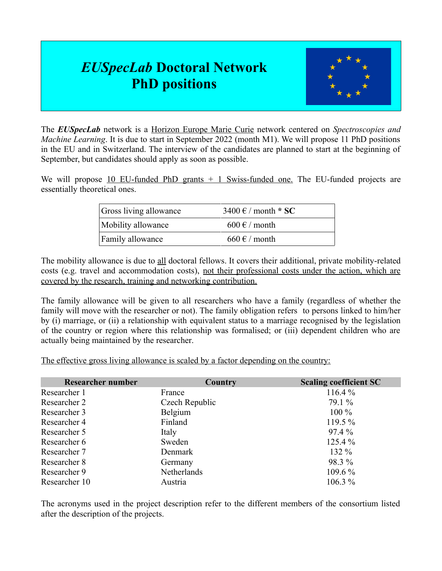## *EUSpecLab* **Doctoral Network PhD positions**



The *EUSpecLab* network is a Horizon Europe Marie Curie network centered on *Spectroscopies and Machine Learning*. It is due to start in September 2022 (month M1). We will propose 11 PhD positions in the EU and in Switzerland. The interview of the candidates are planned to start at the beginning of September, but candidates should apply as soon as possible.

We will propose  $10$  EU-funded PhD grants  $+1$  Swiss-funded one. The EU-funded projects are essentially theoretical ones.

| <b>Gross living allowance</b> | $3400 \text{ }\epsilon$ / month * SC |
|-------------------------------|--------------------------------------|
| Mobility allowance            | $600 \text{ }\in$ / month            |
| Family allowance              | $660 \text{ } \in / \text{ month}$   |

The mobility allowance is due to all doctoral fellows. It covers their additional, private mobility-related costs (e.g. travel and accommodation costs), not their professional costs under the action, which are covered by the research, training and networking contribution.

The family allowance will be given to all researchers who have a family (regardless of whether the family will move with the researcher or not). The family obligation refers to persons linked to him/her by (i) marriage, or (ii) a relationship with equivalent status to a marriage recognised by the legislation of the country or region where this relationship was formalised; or (iii) dependent children who are actually being maintained by the researcher.

The effective gross living allowance is scaled by a factor depending on the country:

| <b>Researcher number</b> | Country        | <b>Scaling coefficient SC</b> |
|--------------------------|----------------|-------------------------------|
| Researcher 1             | France         | 116.4%                        |
| Researcher 2             | Czech Republic | 79.1 %                        |
| Researcher 3             | Belgium        | $100\%$                       |
| Researcher 4             | Finland        | 119.5 %                       |
| Researcher 5             | Italy          | 97.4%                         |
| Researcher 6             | Sweden         | 125.4 %                       |
| Researcher 7             | Denmark        | 132 %                         |
| Researcher 8             | Germany        | 98.3 %                        |
| Researcher 9             | Netherlands    | 109.6 %                       |
| Researcher 10            | Austria        | 106.3 %                       |

The acronyms used in the project description refer to the different members of the consortium listed after the description of the projects.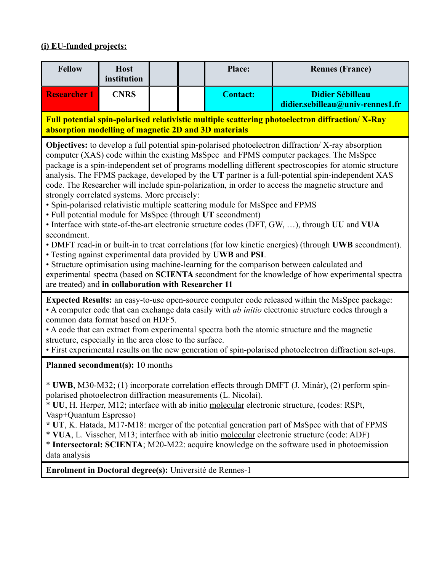### **(i) EU-funded projects:**

| <b>Fellow</b>                                                                                                                                                                                                                                                                                                                                                                                                                                                                                                                                                                                                                                                                                                                                                                                                                                                                                                                                                                                                                                                                                                                                                                                                                                                      | <b>Host</b><br>institution                                                                                                                                                                                                                                                                                                                                                                                                                                                                                                |  |  | Place:          | <b>Rennes (France)</b>                                                                                |  |
|--------------------------------------------------------------------------------------------------------------------------------------------------------------------------------------------------------------------------------------------------------------------------------------------------------------------------------------------------------------------------------------------------------------------------------------------------------------------------------------------------------------------------------------------------------------------------------------------------------------------------------------------------------------------------------------------------------------------------------------------------------------------------------------------------------------------------------------------------------------------------------------------------------------------------------------------------------------------------------------------------------------------------------------------------------------------------------------------------------------------------------------------------------------------------------------------------------------------------------------------------------------------|---------------------------------------------------------------------------------------------------------------------------------------------------------------------------------------------------------------------------------------------------------------------------------------------------------------------------------------------------------------------------------------------------------------------------------------------------------------------------------------------------------------------------|--|--|-----------------|-------------------------------------------------------------------------------------------------------|--|
| <b>Researcher 1</b>                                                                                                                                                                                                                                                                                                                                                                                                                                                                                                                                                                                                                                                                                                                                                                                                                                                                                                                                                                                                                                                                                                                                                                                                                                                | <b>CNRS</b>                                                                                                                                                                                                                                                                                                                                                                                                                                                                                                               |  |  | <b>Contact:</b> | <b>Didier Sébilleau</b><br>didier.sebilleau@univ-rennes1.fr                                           |  |
| absorption modelling of magnetic 2D and 3D materials                                                                                                                                                                                                                                                                                                                                                                                                                                                                                                                                                                                                                                                                                                                                                                                                                                                                                                                                                                                                                                                                                                                                                                                                               |                                                                                                                                                                                                                                                                                                                                                                                                                                                                                                                           |  |  |                 | <b>Full potential spin-polarised relativistic multiple scattering photoelectron diffraction/X-Ray</b> |  |
| <b>Objectives:</b> to develop a full potential spin-polarised photoelectron diffraction/X-ray absorption<br>computer (XAS) code within the existing MsSpec and FPMS computer packages. The MsSpec<br>package is a spin-independent set of programs modelling different spectroscopies for atomic structure<br>analysis. The FPMS package, developed by the UT partner is a full-potential spin-independent XAS<br>code. The Researcher will include spin-polarization, in order to access the magnetic structure and<br>strongly correlated systems. More precisely:<br>· Spin-polarised relativistic multiple scattering module for MsSpec and FPMS<br>· Full potential module for MsSpec (through UT secondment)<br>• Interface with state-of-the-art electronic structure codes (DFT, GW, ), through UU and VUA<br>secondment.<br>• DMFT read-in or built-in to treat correlations (for low kinetic energies) (through UWB secondment).<br>· Testing against experimental data provided by UWB and PSI.<br>• Structure optimisation using machine-learning for the comparison between calculated and<br>experimental spectra (based on SCIENTA secondment for the knowledge of how experimental spectra<br>are treated) and in collaboration with Researcher 11 |                                                                                                                                                                                                                                                                                                                                                                                                                                                                                                                           |  |  |                 |                                                                                                       |  |
|                                                                                                                                                                                                                                                                                                                                                                                                                                                                                                                                                                                                                                                                                                                                                                                                                                                                                                                                                                                                                                                                                                                                                                                                                                                                    | Expected Results: an easy-to-use open-source computer code released within the MsSpec package:<br>• A computer code that can exchange data easily with <i>ab initio</i> electronic structure codes through a<br>common data format based on HDF5.<br>• A code that can extract from experimental spectra both the atomic structure and the magnetic<br>structure, especially in the area close to the surface.<br>· First experimental results on the new generation of spin-polarised photoelectron diffraction set-ups. |  |  |                 |                                                                                                       |  |
| <b>Planned secondment(s): 10 months</b>                                                                                                                                                                                                                                                                                                                                                                                                                                                                                                                                                                                                                                                                                                                                                                                                                                                                                                                                                                                                                                                                                                                                                                                                                            |                                                                                                                                                                                                                                                                                                                                                                                                                                                                                                                           |  |  |                 |                                                                                                       |  |
| * UWB, M30-M32; (1) incorporate correlation effects through DMFT (J. Minár), (2) perform spin-<br>polarised photoelectron diffraction measurements (L. Nicolai).<br>* UU, H. Herper, M12; interface with ab initio molecular electronic structure, (codes: RSPt,<br>Vasp+Quantum Espresso)<br>* UT, K. Hatada, M17-M18: merger of the potential generation part of MsSpec with that of FPMS<br>* VUA, L. Visscher, M13; interface with ab initio molecular electronic structure (code: ADF)<br>* Intersectoral: SCIENTA; M20-M22: acquire knowledge on the software used in photoemission<br>data analysis                                                                                                                                                                                                                                                                                                                                                                                                                                                                                                                                                                                                                                                         |                                                                                                                                                                                                                                                                                                                                                                                                                                                                                                                           |  |  |                 |                                                                                                       |  |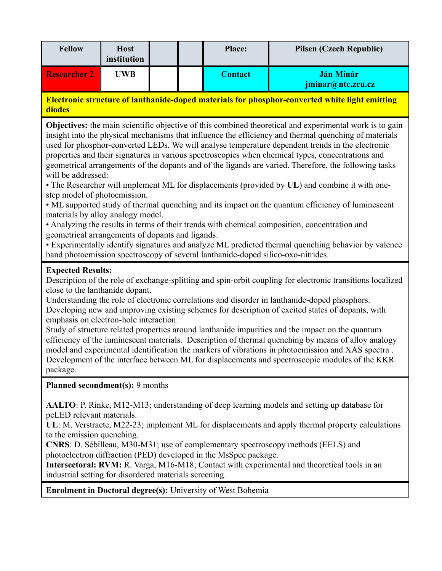| <b>Fellow</b>       | <b>Host</b><br>institution |  | <b>Place:</b>  | <b>Pilsen (Czech Republic)</b>        |
|---------------------|----------------------------|--|----------------|---------------------------------------|
| <b>Researcher 2</b> | UWB                        |  | <b>Contact</b> | <b>Ján Minár</b><br>jminar@ntc.zcu.cz |

**Electronic structure of lanthanide-doped materials for phosphor-converted white light emitting diodes** 

**Objectives:** the main scientific objective of this combined theoretical and experimental work is to gain insight into the physical mechanisms that influence the efficiency and thermal quenching of materials used for phosphor-converted LEDs. We will analyse temperature dependent trends in the electronic properties and their signatures in various spectroscopies when chemical types, concentrations and geometrical arrangements of the dopants and of the ligands are varied. Therefore, the following tasks will be addressed:

• The Researcher will implement ML for displacements (provided by **UL**) and combine it with onestep model of photoemission.

• ML supported study of thermal quenching and its impact on the quantum efficiency of luminescent materials by alloy analogy model.

• Analyzing the results in terms of their trends with chemical composition, concentration and geometrical arrangements of dopants and ligands.

• Experimentally identify signatures and analyze ML predicted thermal quenching behavior by valence band photoemission spectroscopy of several lanthanide-doped silico-oxo-nitrides.

#### **Expected Results:**

Description of the role of exchange-splitting and spin-orbit coupling for electronic transitions localized close to the lanthanide dopant.

Understanding the role of electronic correlations and disorder in lanthanide-doped phosphors. Developing new and improving existing schemes for description of excited states of dopants, with emphasis on electron-hole interaction.

Study of structure related properties around lanthanide impurities and the impact on the quantum efficiency of the luminescent materials. Description of thermal quenching by means of alloy analogy model and experimental identification the markers of vibrations in photoemission and XAS spectra . Development of the interface between ML for displacements and spectroscopic modules of the KKR package.

**Planned secondment(s):** 9 months

**AALTO**: P. Rinke, M12-M13; understanding of deep learning models and setting up database for pcLED relevant materials.

**UL**: M. Verstraete, M22-23; implement ML for displacements and apply thermal property calculations to the emission quenching.

**CNRS**: D. Sébilleau, M30-M31; use of complementary spectroscopy methods (EELS) and photoelectron diffraction (PED) developed in the MsSpec package.

**Intersectoral: RVM:** R. Varga, M16-M18; Contact with experimental and theoretical tools in an industrial setting for disordered materials screening.

**Enrolment in Doctoral degree(s):** University of West Bohemia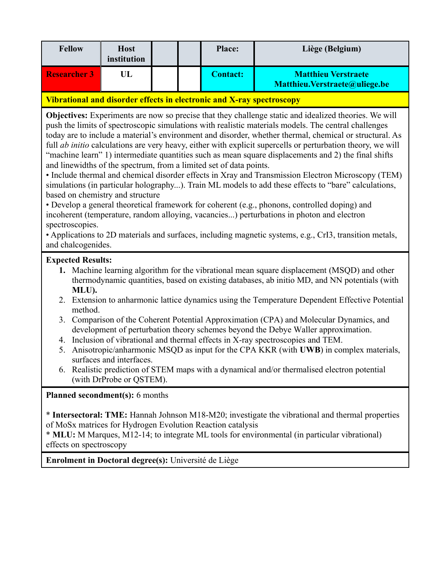| <b>Fellow</b>       | <b>Host</b><br>institution |  | <b>Place:</b>   | Liège (Belgium)                                              |
|---------------------|----------------------------|--|-----------------|--------------------------------------------------------------|
| <b>Researcher 3</b> | ЛJ                         |  | <b>Contact:</b> | <b>Matthieu Verstraete</b><br>Matthieu. Verstraete@uliege.be |

#### **Vibrational and disorder effects in electronic and X-ray spectroscopy**

**Objectives:** Experiments are now so precise that they challenge static and idealized theories. We will push the limits of spectroscopic simulations with realistic materials models. The central challenges today are to include a material's environment and disorder, whether thermal, chemical or structural. As full *ab initio* calculations are very heavy, either with explicit supercells or perturbation theory, we will "machine learn" 1) intermediate quantities such as mean square displacements and 2) the final shifts and linewidths of the spectrum, from a limited set of data points.

• Include thermal and chemical disorder effects in Xray and Transmission Electron Microscopy (TEM) simulations (in particular holography...). Train ML models to add these effects to "bare" calculations, based on chemistry and structure

• Develop a general theoretical framework for coherent (e.g., phonons, controlled doping) and incoherent (temperature, random alloying, vacancies...) perturbations in photon and electron spectroscopies.

• Applications to 2D materials and surfaces, including magnetic systems, e.g., CrI3, transition metals, and chalcogenides.

#### **Expected Results:**

- **1.** Machine learning algorithm for the vibrational mean square displacement (MSQD) and other thermodynamic quantities, based on existing databases, ab initio MD, and NN potentials (with **MLU).**
- 2. Extension to anharmonic lattice dynamics using the Temperature Dependent Effective Potential method.
- 3. Comparison of the Coherent Potential Approximation (CPA) and Molecular Dynamics, and development of perturbation theory schemes beyond the Debye Waller approximation.
- 4. Inclusion of vibrational and thermal effects in X-ray spectroscopies and TEM.
- 5. Anisotropic/anharmonic MSQD as input for the CPA KKR (with **UWB**) in complex materials, surfaces and interfaces.
- 6. Realistic prediction of STEM maps with a dynamical and/or thermalised electron potential (with DrProbe or QSTEM).

**Planned secondment(s):** 6 months

\* **Intersectoral: TME:** Hannah Johnson M18-M20; investigate the vibrational and thermal properties of MoSx matrices for Hydrogen Evolution Reaction catalysis

\* **MLU:** M Marques, M12-14; to integrate ML tools for environmental (in particular vibrational) effects on spectroscopy

**Enrolment in Doctoral degree(s):** Université de Liège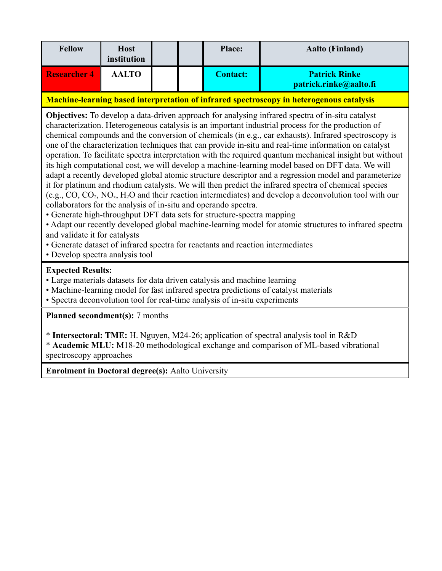| <b>Fellow</b>       | <b>Host</b><br>institution |  | <b>Place:</b>   | <b>Aalto (Finland)</b>                         |
|---------------------|----------------------------|--|-----------------|------------------------------------------------|
| <b>Researcher 4</b> | <b>AALTO</b>               |  | <b>Contact:</b> | <b>Patrick Rinke</b><br>patrick.rinke@aalto.fi |

#### **Machine-learning based interpretation of infrared spectroscopy in heterogenous catalysis**

**Objectives:** To develop a data-driven approach for analysing infrared spectra of in-situ catalyst characterization. Heterogeneous catalysis is an important industrial process for the production of chemical compounds and the conversion of chemicals (in e.g., car exhausts). Infrared spectroscopy is one of the characterization techniques that can provide in-situ and real-time information on catalyst operation. To facilitate spectra interpretation with the required quantum mechanical insight but without its high computational cost, we will develop a machine-learning model based on DFT data. We will adapt a recently developed global atomic structure descriptor and a regression model and parameterize it for platinum and rhodium catalysts. We will then predict the infrared spectra of chemical species (e.g., CO,  $CO_2$ , NO<sub>x</sub>, H<sub>2</sub>O and their reaction intermediates) and develop a deconvolution tool with our collaborators for the analysis of in-situ and operando spectra.

• Generate high-throughput DFT data sets for structure-spectra mapping

• Adapt our recently developed global machine-learning model for atomic structures to infrared spectra and validate it for catalysts

- Generate dataset of infrared spectra for reactants and reaction intermediates
- Develop spectra analysis tool

#### **Expected Results:**

- Large materials datasets for data driven catalysis and machine learning
- Machine-learning model for fast infrared spectra predictions of catalyst materials
- Spectra deconvolution tool for real-time analysis of in-situ experiments

**Planned secondment(s):** 7 months

- \* **Intersectoral: TME:** H. Nguyen, M24-26; application of spectral analysis tool in R&D
- \* **Academic MLU:** M18-20 methodological exchange and comparison of ML-based vibrational spectroscopy approaches

**Enrolment in Doctoral degree(s):** Aalto University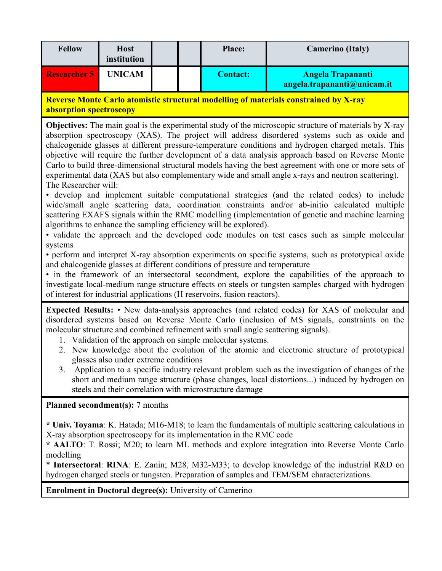| <b>Fellow</b>       | <b>Host</b><br>institution |  | <b>Place:</b>   | <b>Camerino</b> (Italy)                                 |
|---------------------|----------------------------|--|-----------------|---------------------------------------------------------|
| <b>Researcher 5</b> | <b>UNICAM</b>              |  | <b>Contact:</b> | <b>Angela Trapananti</b><br>angela.trapananti@unicam.it |

**Reverse Monte Carlo atomistic structural modelling of materials constrained by X-ray absorption spectroscopy** 

**Objectives:** The main goal is the experimental study of the microscopic structure of materials by X-ray absorption spectroscopy (XAS). The project will address disordered systems such as oxide and chalcogenide glasses at different pressure-temperature conditions and hydrogen charged metals. This objective will require the further development of a data analysis approach based on Reverse Monte Carlo to build three-dimensional structural models having the best agreement with one or more sets of experimental data (XAS but also complementary wide and small angle x-rays and neutron scattering). The Researcher will:

• develop and implement suitable computational strategies (and the related codes) to include wide/small angle scattering data, coordination constraints and/or ab-initio calculated multiple scattering EXAFS signals within the RMC modelling (implementation of genetic and machine learning algorithms to enhance the sampling efficiency will be explored).

• validate the approach and the developed code modules on test cases such as simple molecular systems

• perform and interpret X-ray absorption experiments on specific systems, such as prototypical oxide and chalcogenide glasses at different conditions of pressure and temperature

• in the framework of an intersectoral secondment, explore the capabilities of the approach to investigate local-medium range structure effects on steels or tungsten samples charged with hydrogen of interest for industrial applications (H reservoirs, fusion reactors).

**Expected Results:** • New data-analysis approaches (and related codes) for XAS of molecular and disordered systems based on Reverse Monte Carlo (inclusion of MS signals, constraints on the molecular structure and combined refinement with small angle scattering signals).

- 1. Validation of the approach on simple molecular systems.
- 2. New knowledge about the evolution of the atomic and electronic structure of prototypical glasses also under extreme conditions
- 3. Application to a specific industry relevant problem such as the investigation of changes of the short and medium range structure (phase changes, local distortions...) induced by hydrogen on steels and their correlation with microstructure damage

#### **Planned secondment(s):** 7 months

**\* Univ. Toyama**: K. Hatada; M16-M18; to learn the fundamentals of multiple scattering calculations in X-ray absorption spectroscopy for its implementation in the RMC code

**\* AALTO**: T. Rossi; M20; to learn ML methods and explore integration into Reverse Monte Carlo modelling

\* **Intersectoral**: **RINA**: E. Zanin; M28, M32-M33; to develop knowledge of the industrial R&D on hydrogen charged steels or tungsten. Preparation of samples and TEM/SEM characterizations.

**Enrolment in Doctoral degree(s):** University of Camerino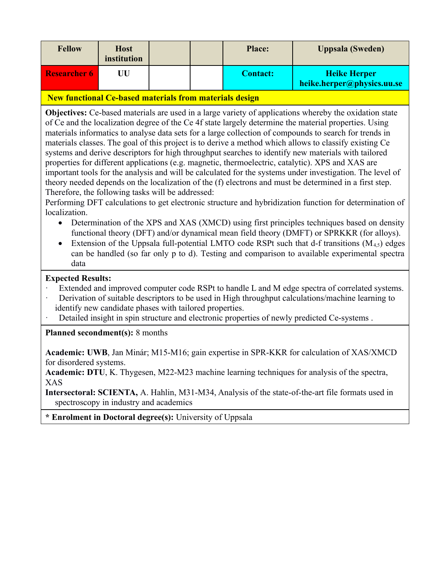| <b>Fellow</b>       | <b>Host</b><br>institution |  | <b>Place:</b>   | <b>Uppsala (Sweden)</b>                           |
|---------------------|----------------------------|--|-----------------|---------------------------------------------------|
| <b>Researcher 6</b> | UU                         |  | <b>Contact:</b> | <b>Heike Herper</b><br>heike.herper@physics.uu.se |

#### **New functional Ce-based materials from materials design**

**Objectives:** Ce-based materials are used in a large variety of applications whereby the oxidation state of Ce and the localization degree of the Ce 4f state largely determine the material properties. Using materials informatics to analyse data sets for a large collection of compounds to search for trends in materials classes. The goal of this project is to derive a method which allows to classify existing Ce systems and derive descriptors for high throughput searches to identify new materials with tailored properties for different applications (e.g. magnetic, thermoelectric, catalytic). XPS and XAS are important tools for the analysis and will be calculated for the systems under investigation. The level of theory needed depends on the localization of the (f) electrons and must be determined in a first step. Therefore, the following tasks will be addressed:

Performing DFT calculations to get electronic structure and hybridization function for determination of localization.

- Determination of the XPS and XAS (XMCD) using first principles techniques based on density functional theory (DFT) and/or dynamical mean field theory (DMFT) or SPRKKR (for alloys).
- Extension of the Uppsala full-potential LMTO code RSPt such that d-f transitions  $(M_{45})$  edges can be handled (so far only p to d). Testing and comparison to available experimental spectra data

#### **Expected Results:**

- Extended and improved computer code RSPt to handle L and M edge spectra of correlated systems.
- Derivation of suitable descriptors to be used in High throughput calculations/machine learning to identify new candidate phases with tailored properties.
- Detailed insight in spin structure and electronic properties of newly predicted Ce-systems.

**Planned secondment(s):** 8 months

**Academic: UWB**, Jan Minár; M15-M16; gain expertise in SPR-KKR for calculation of XAS/XMCD for disordered systems.

**Academic: DTU**, K. Thygesen, M22-M23 machine learning techniques for analysis of the spectra, XAS

**Intersectoral: SCIENTA,** A. Hahlin, M31-M34, Analysis of the state-of-the-art file formats used in spectroscopy in industry and academics

**\* Enrolment in Doctoral degree(s):** University of Uppsala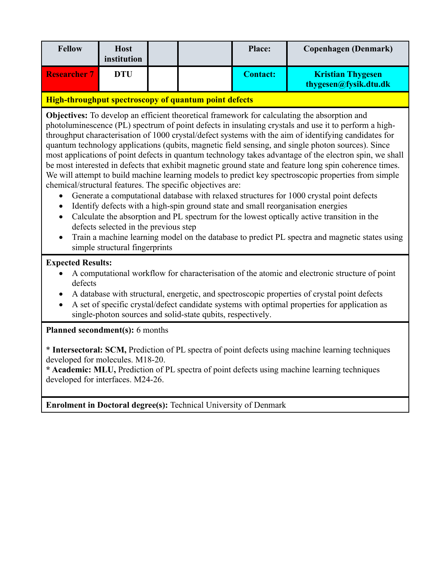| <b>Fellow</b>       | <b>Host</b><br>institution |  | <b>Place:</b>   | <b>Copenhagen</b> (Denmark)                       |
|---------------------|----------------------------|--|-----------------|---------------------------------------------------|
| <b>Researcher 7</b> | DTU                        |  | <b>Contact:</b> | <b>Kristian Thygesen</b><br>thygesen@fysik.dtu.dk |

#### **High-throughput spectroscopy of quantum point defects**

**Objectives:** To develop an efficient theoretical framework for calculating the absorption and photoluminescence (PL) spectrum of point defects in insulating crystals and use it to perform a highthroughput characterisation of 1000 crystal/defect systems with the aim of identifying candidates for quantum technology applications (qubits, magnetic field sensing, and single photon sources). Since most applications of point defects in quantum technology takes advantage of the electron spin, we shall be most interested in defects that exhibit magnetic ground state and feature long spin coherence times. We will attempt to build machine learning models to predict key spectroscopic properties from simple chemical/structural features. The specific objectives are:

- Generate a computational database with relaxed structures for 1000 crystal point defects
- Identify defects with a high-spin ground state and small reorganisation energies
- Calculate the absorption and PL spectrum for the lowest optically active transition in the defects selected in the previous step
- · Train a machine learning model on the database to predict PL spectra and magnetic states using simple structural fingerprints

#### **Expected Results:**

- · A computational workflow for characterisation of the atomic and electronic structure of point defects
- · A database with structural, energetic, and spectroscopic properties of crystal point defects
- A set of specific crystal/defect candidate systems with optimal properties for application as single-photon sources and solid-state qubits, respectively.

#### **Planned secondment(s):** 6 months

\* **Intersectoral: SCM,** Prediction of PL spectra of point defects using machine learning techniques developed for molecules. M18-20.

**\* Academic: MLU,** Prediction of PL spectra of point defects using machine learning techniques developed for interfaces. M24-26.

**Enrolment in Doctoral degree(s):** Technical University of Denmark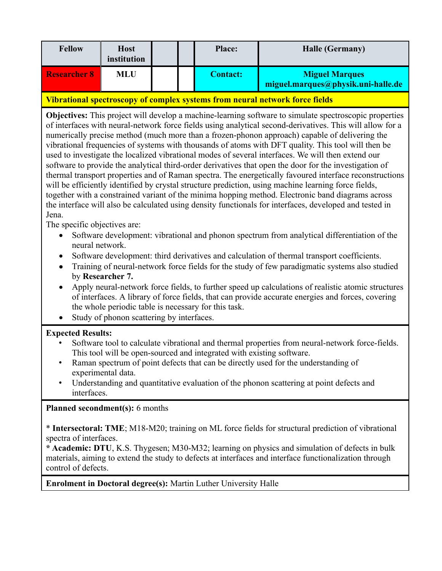| <b>Fellow</b> | <b>Host</b><br>institution |  | <b>Place:</b>   | <b>Halle (Germany)</b>                                      |
|---------------|----------------------------|--|-----------------|-------------------------------------------------------------|
| Researcher 8  | MLU                        |  | <b>Contact:</b> | <b>Miguel Marques</b><br>miguel.marques@physik.uni-halle.de |

#### **Vibrational spectroscopy of complex systems from neural network force fields**

**Objectives:** This project will develop a machine-learning software to simulate spectroscopic properties of interfaces with neural-network force fields using analytical second-derivatives. This will allow for a numerically precise method (much more than a frozen-phonon approach) capable of delivering the vibrational frequencies of systems with thousands of atoms with DFT quality. This tool will then be used to investigate the localized vibrational modes of several interfaces. We will then extend our software to provide the analytical third-order derivatives that open the door for the investigation of thermal transport properties and of Raman spectra. The energetically favoured interface reconstructions will be efficiently identified by crystal structure prediction, using machine learning force fields, together with a constrained variant of the minima hopping method. Electronic band diagrams across the interface will also be calculated using density functionals for interfaces, developed and tested in Jena.

The specific objectives are:

- · Software development: vibrational and phonon spectrum from analytical differentiation of the neural network.
- Software development: third derivatives and calculation of thermal transport coefficients.
- Training of neural-network force fields for the study of few paradigmatic systems also studied by **Researcher 7.**
- Apply neural-network force fields, to further speed up calculations of realistic atomic structures of interfaces. A library of force fields, that can provide accurate energies and forces, covering the whole periodic table is necessary for this task.
- Study of phonon scattering by interfaces.

#### **Expected Results:**

- Software tool to calculate vibrational and thermal properties from neural-network force-fields. This tool will be open-sourced and integrated with existing software.
- Raman spectrum of point defects that can be directly used for the understanding of experimental data.
- Understanding and quantitative evaluation of the phonon scattering at point defects and interfaces.

#### **Planned secondment(s):** 6 months

\* **Intersectoral: TME**; M18-M20; training on ML force fields for structural prediction of vibrational spectra of interfaces.

**\* Academic: DTU**, K.S. Thygesen; M30-M32; learning on physics and simulation of defects in bulk materials, aiming to extend the study to defects at interfaces and interface functionalization through control of defects.

**Enrolment in Doctoral degree(s):** Martin Luther University Halle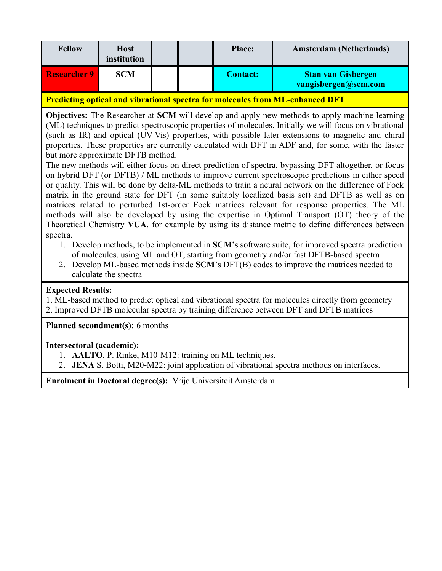| <b>Fellow</b> | <b>Host</b><br>institution |  | <b>Place:</b>   | <b>Amsterdam (Netherlands)</b>                    |
|---------------|----------------------------|--|-----------------|---------------------------------------------------|
| Researcher 9  | <b>SCM</b>                 |  | <b>Contact:</b> | <b>Stan van Gisbergen</b><br>vangisbergen@scm.com |

#### **Predicting optical and vibrational spectra for molecules from ML-enhanced DFT**

**Objectives:** The Researcher at **SCM** will develop and apply new methods to apply machine-learning (ML) techniques to predict spectroscopic properties of molecules. Initially we will focus on vibrational (such as IR) and optical (UV-Vis) properties, with possible later extensions to magnetic and chiral properties. These properties are currently calculated with DFT in ADF and, for some, with the faster but more approximate DFTB method.

The new methods will either focus on direct prediction of spectra, bypassing DFT altogether, or focus on hybrid DFT (or DFTB) / ML methods to improve current spectroscopic predictions in either speed or quality. This will be done by delta-ML methods to train a neural network on the difference of Fock matrix in the ground state for DFT (in some suitably localized basis set) and DFTB as well as on matrices related to perturbed 1st-order Fock matrices relevant for response properties. The ML methods will also be developed by using the expertise in Optimal Transport (OT) theory of the Theoretical Chemistry **VUA**, for example by using its distance metric to define differences between spectra.

- 1. Develop methods, to be implemented in **SCM'**s software suite, for improved spectra prediction of molecules, using ML and OT, starting from geometry and/or fast DFTB-based spectra
- 2. Develop ML-based methods inside **SCM**'s DFT(B) codes to improve the matrices needed to calculate the spectra

#### **Expected Results:**

1. ML-based method to predict optical and vibrational spectra for molecules directly from geometry 2. Improved DFTB molecular spectra by training difference between DFT and DFTB matrices

#### **Planned secondment(s):** 6 months

#### **Intersectoral (academic):**

- 1. **AALTO**, P. Rinke, M10-M12: training on ML techniques.
- 2. **JENA** S. Botti, M20-M22: joint application of vibrational spectra methods on interfaces.

#### **Enrolment in Doctoral degree(s):** Vrije Universiteit Amsterdam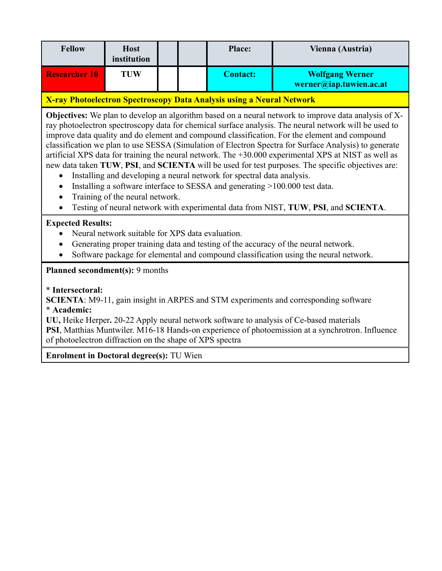| <b>Fellow</b>        | <b>Host</b><br>institution |  | <b>Place:</b>   | Vienna (Austria)                                  |
|----------------------|----------------------------|--|-----------------|---------------------------------------------------|
| <b>Researcher 10</b> | TUW                        |  | <b>Contact:</b> | <b>Wolfgang Werner</b><br>werner@iap.tuwien.ac.at |

#### **X-ray Photoelectron Spectroscopy Data Analysis using a Neural Network**

**Objectives:** We plan to develop an algorithm based on a neural network to improve data analysis of Xray photoelectron spectroscopy data for chemical surface analysis. The neural network will be used to improve data quality and do element and compound classification. For the element and compound classification we plan to use SESSA (Simulation of Electron Spectra for Surface Analysis) to generate artificial XPS data for training the neural network. The +30.000 experimental XPS at NIST as well as new data taken **TUW**, **PSI**, and **SCIENTA** will be used for test purposes. The specific objectives are:

- Installing and developing a neural network for spectral data analysis.
- Installing a software interface to SESSA and generating >100.000 test data.
- Training of the neural network.
- · Testing of neural network with experimental data from NIST, **TUW**, **PSI**, and **SCIENTA**.

#### **Expected Results:**

- Neural network suitable for XPS data evaluation.
- Generating proper training data and testing of the accuracy of the neural network.
- Software package for elemental and compound classification using the neural network.

#### **Planned secondment(s):** 9 months

#### \* **Intersectoral:**

**SCIENTA**: M9-11, gain insight in ARPES and STM experiments and corresponding software \* **Academic:**

**UU,** Heike Herper**.** 20-22 Apply neural network software to analysis of Ce-based materials **PSI**, Matthias Muntwiler. M16-18 Hands-on experience of photoemission at a synchrotron. Influence of photoelectron diffraction on the shape of XPS spectra

**Enrolment in Doctoral degree(s):** TU Wien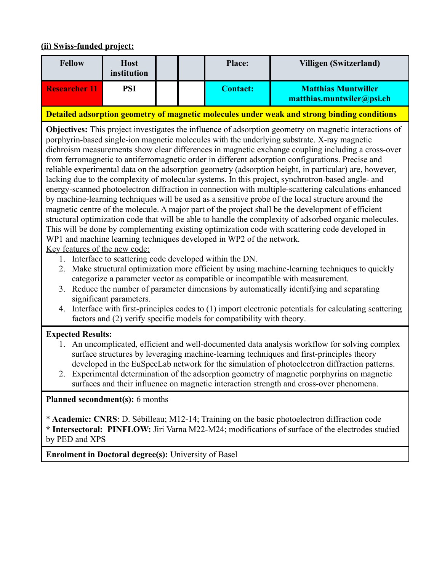## **(ii) Swiss-funded project:**

| <b>Fellow</b>                                                                                                                                                                                                                                                                                                                                                                                                                                                                                                                                                                                                                                                                                                                                                                                                                                                                                                                                                                                                                                                                                                                                                                                                                                                                                                                                                                                                                                                                                                                                                                                                                                                                                                                                                                                                                           | <b>Host</b><br>institution |  | Place:          | Villigen (Switzerland)                                                                      |  |  |  |
|-----------------------------------------------------------------------------------------------------------------------------------------------------------------------------------------------------------------------------------------------------------------------------------------------------------------------------------------------------------------------------------------------------------------------------------------------------------------------------------------------------------------------------------------------------------------------------------------------------------------------------------------------------------------------------------------------------------------------------------------------------------------------------------------------------------------------------------------------------------------------------------------------------------------------------------------------------------------------------------------------------------------------------------------------------------------------------------------------------------------------------------------------------------------------------------------------------------------------------------------------------------------------------------------------------------------------------------------------------------------------------------------------------------------------------------------------------------------------------------------------------------------------------------------------------------------------------------------------------------------------------------------------------------------------------------------------------------------------------------------------------------------------------------------------------------------------------------------|----------------------------|--|-----------------|---------------------------------------------------------------------------------------------|--|--|--|
| <b>Researcher 11</b>                                                                                                                                                                                                                                                                                                                                                                                                                                                                                                                                                                                                                                                                                                                                                                                                                                                                                                                                                                                                                                                                                                                                                                                                                                                                                                                                                                                                                                                                                                                                                                                                                                                                                                                                                                                                                    | <b>PSI</b>                 |  | <b>Contact:</b> | <b>Matthias Muntwiller</b><br>matthias.muntwiler@psi.ch                                     |  |  |  |
|                                                                                                                                                                                                                                                                                                                                                                                                                                                                                                                                                                                                                                                                                                                                                                                                                                                                                                                                                                                                                                                                                                                                                                                                                                                                                                                                                                                                                                                                                                                                                                                                                                                                                                                                                                                                                                         |                            |  |                 | Detailed adsorption geometry of magnetic molecules under weak and strong binding conditions |  |  |  |
| Objectives: This project investigates the influence of adsorption geometry on magnetic interactions of<br>porphyrin-based single-ion magnetic molecules with the underlying substrate. X-ray magnetic<br>dichroism measurements show clear differences in magnetic exchange coupling including a cross-over<br>from ferromagnetic to antiferromagnetic order in different adsorption configurations. Precise and<br>reliable experimental data on the adsorption geometry (adsorption height, in particular) are, however,<br>lacking due to the complexity of molecular systems. In this project, synchrotron-based angle- and<br>energy-scanned photoelectron diffraction in connection with multiple-scattering calculations enhanced<br>by machine-learning techniques will be used as a sensitive probe of the local structure around the<br>magnetic centre of the molecule. A major part of the project shall be the development of efficient<br>structural optimization code that will be able to handle the complexity of adsorbed organic molecules.<br>This will be done by complementing existing optimization code with scattering code developed in<br>WP1 and machine learning techniques developed in WP2 of the network.<br>Key features of the new code:<br>1. Interface to scattering code developed within the DN.<br>2. Make structural optimization more efficient by using machine-learning techniques to quickly<br>categorize a parameter vector as compatible or incompatible with measurement.<br>Reduce the number of parameter dimensions by automatically identifying and separating<br>3.<br>significant parameters.<br>4. Interface with first-principles codes to (1) import electronic potentials for calculating scattering<br>factors and (2) verify specific models for compatibility with theory. |                            |  |                 |                                                                                             |  |  |  |
| <b>Expected Results:</b><br>1. An uncomplicated, efficient and well-documented data analysis workflow for solving complex<br>surface structures by leveraging machine-learning techniques and first-principles theory<br>developed in the EuSpecLab network for the simulation of photoelectron diffraction patterns.<br>2. Experimental determination of the adsorption geometry of magnetic porphyrins on magnetic<br>surfaces and their influence on magnetic interaction strength and cross-over phenomena.<br><b>Planned secondment(s): 6 months</b>                                                                                                                                                                                                                                                                                                                                                                                                                                                                                                                                                                                                                                                                                                                                                                                                                                                                                                                                                                                                                                                                                                                                                                                                                                                                               |                            |  |                 |                                                                                             |  |  |  |
| * Academic: CNRS: D. Sébilleau; M12-14; Training on the basic photoelectron diffraction code<br>* Intersectoral: PINFLOW: Jiri Varna M22-M24; modifications of surface of the electrodes studied<br>by PED and XPS                                                                                                                                                                                                                                                                                                                                                                                                                                                                                                                                                                                                                                                                                                                                                                                                                                                                                                                                                                                                                                                                                                                                                                                                                                                                                                                                                                                                                                                                                                                                                                                                                      |                            |  |                 |                                                                                             |  |  |  |
| <b>Enrolment in Doctoral degree(s):</b> University of Basel                                                                                                                                                                                                                                                                                                                                                                                                                                                                                                                                                                                                                                                                                                                                                                                                                                                                                                                                                                                                                                                                                                                                                                                                                                                                                                                                                                                                                                                                                                                                                                                                                                                                                                                                                                             |                            |  |                 |                                                                                             |  |  |  |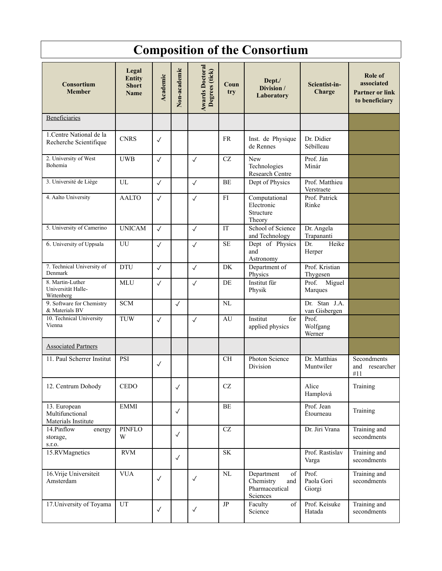# **Composition of the Consortium**

| <b>Consortium</b><br><b>Member</b>                     | Legal<br><b>Entity</b><br><b>Short</b><br><b>Name</b> | Academic     | Non-academic | <b>Awards Doctoral</b><br>Degrees (tick) | Coun<br>try                       | Dept./<br>Division /<br>Laboratory                                 | Scientist-in-<br>Charge        | Role of<br>associated<br><b>Partner or link</b><br>to beneficiary |
|--------------------------------------------------------|-------------------------------------------------------|--------------|--------------|------------------------------------------|-----------------------------------|--------------------------------------------------------------------|--------------------------------|-------------------------------------------------------------------|
| Beneficiaries                                          |                                                       |              |              |                                          |                                   |                                                                    |                                |                                                                   |
| 1. Centre National de la<br>Recherche Scientifique     | <b>CNRS</b>                                           | $\checkmark$ |              |                                          | <b>FR</b>                         | Inst. de Physique<br>de Rennes                                     | Dr. Didier<br>Sébilleau        |                                                                   |
| 2. University of West<br>Bohemia                       | <b>UWB</b>                                            | $\checkmark$ |              | $\checkmark$                             | $\operatorname{CZ}$               | New<br>Technologies<br>Research Centre                             | Prof. Ján<br>Minár             |                                                                   |
| 3. Université de Liège                                 | UL                                                    | $\checkmark$ |              | $\checkmark$                             | <b>BE</b>                         | Dept of Physics                                                    | Prof. Matthieu<br>Verstraete   |                                                                   |
| 4. Aalto University                                    | <b>AALTO</b>                                          | $\checkmark$ |              | $\checkmark$                             | FI                                | Computational<br>Electronic<br>Structure<br>Theory                 | Prof. Patrick<br>Rinke         |                                                                   |
| 5. University of Camerino                              | <b>UNICAM</b>                                         | $\checkmark$ |              | $\checkmark$                             | IT                                | School of Science<br>and Technology                                | Dr. Angela<br>Trapananti       |                                                                   |
| 6. University of Uppsala                               | UU                                                    | $\checkmark$ |              | $\checkmark$                             | SE                                | Dept of Physics<br>and<br>Astronomy                                | Dr.<br>Heike<br>Herper         |                                                                   |
| 7. Technical University of<br>Denmark                  | <b>DTU</b>                                            | $\checkmark$ |              | $\checkmark$                             | DK                                | Department of<br>Physics                                           | Prof. Kristian<br>Thygesen     |                                                                   |
| 8. Martin-Luther<br>Universität Halle-<br>Wittenberg   | <b>MLU</b>                                            | $\checkmark$ |              | $\checkmark$                             | DE                                | Institut für<br>Physik                                             | Prof.<br>Miguel<br>Marques     |                                                                   |
| 9. Software for Chemistry<br>& Materials BV            | <b>SCM</b>                                            |              | $\checkmark$ |                                          | NL                                |                                                                    | Dr. Stan J.A.<br>van Gisbergen |                                                                   |
| 10. Technical University<br>Vienna                     | <b>TUW</b>                                            | $\checkmark$ |              | $\checkmark$                             | AU                                | Institut<br>for<br>applied physics                                 | Prof.<br>Wolfgang<br>Werner    |                                                                   |
| <b>Associated Partners</b>                             |                                                       |              |              |                                          |                                   |                                                                    |                                |                                                                   |
| 11. Paul Scherrer Institut                             | <b>PSI</b>                                            | $\checkmark$ |              |                                          | <b>CH</b>                         | Photon Science<br>Division                                         | Dr. Matthias<br>Muntwiler      | Secondments<br>and<br>researcher<br>#11                           |
| 12. Centrum Dohody                                     | <b>CEDO</b>                                           |              | √            |                                          | CZ                                |                                                                    | Alice<br>Hamplová              | Training                                                          |
| 13. European<br>Multifunctional<br>Materials Institute | <b>EMMI</b>                                           |              | $\checkmark$ |                                          | BE                                |                                                                    | Prof. Jean<br>Étourneau        | Training                                                          |
| 14.Pinflow<br>energy<br>storage,<br>s.r.o.             | PINFLO<br>W                                           |              | $\checkmark$ |                                          | $\operatorname{CZ}$               |                                                                    | Dr. Jiri Vrana                 | Training and<br>secondments                                       |
| 15.RVMagnetics                                         | <b>RVM</b>                                            |              | $\checkmark$ |                                          | $\ensuremath{\mathbf{SK}}\xspace$ |                                                                    | Prof. Rastislav<br>Varga       | Training and<br>secondments                                       |
| 16. Vrije Universiteit<br>Amsterdam                    | <b>VUA</b>                                            | $\checkmark$ |              | $\checkmark$                             | $\rm NL$                          | Department<br>of<br>Chemistry<br>and<br>Pharmaceutical<br>Sciences | Prof.<br>Paola Gori<br>Giorgi  | Training and<br>secondments                                       |
| 17. University of Toyama                               | $\overline{UT}$                                       | $\checkmark$ |              | $\checkmark$                             | $\overline{JP}$                   | of<br>Faculty<br>Science                                           | Prof. Keisuke<br>Hatada        | Training and<br>secondments                                       |